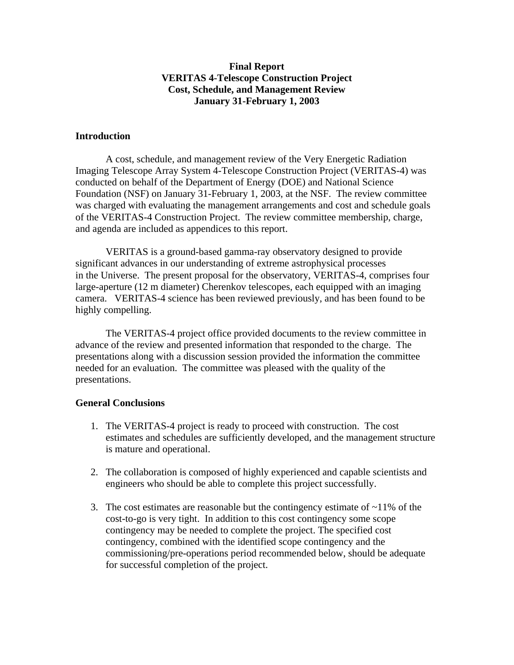## **Final Report VERITAS 4-Telescope Construction Project Cost, Schedule, and Management Review January 31-February 1, 2003**

#### **Introduction**

A cost, schedule, and management review of the Very Energetic Radiation Imaging Telescope Array System 4-Telescope Construction Project (VERITAS-4) was conducted on behalf of the Department of Energy (DOE) and National Science Foundation (NSF) on January 31-February 1, 2003, at the NSF. The review committee was charged with evaluating the management arrangements and cost and schedule goals of the VERITAS-4 Construction Project. The review committee membership, charge, and agenda are included as appendices to this report.

VERITAS is a ground-based gamma-ray observatory designed to provide significant advances in our understanding of extreme astrophysical processes in the Universe. The present proposal for the observatory, VERITAS-4, comprises four large-aperture (12 m diameter) Cherenkov telescopes, each equipped with an imaging camera. VERITAS-4 science has been reviewed previously, and has been found to be highly compelling.

The VERITAS-4 project office provided documents to the review committee in advance of the review and presented information that responded to the charge. The presentations along with a discussion session provided the information the committee needed for an evaluation. The committee was pleased with the quality of the presentations.

#### **General Conclusions**

- 1. The VERITAS-4 project is ready to proceed with construction. The cost estimates and schedules are sufficiently developed, and the management structure is mature and operational.
- 2. The collaboration is composed of highly experienced and capable scientists and engineers who should be able to complete this project successfully.
- 3. The cost estimates are reasonable but the contingency estimate of  $\sim$ 11% of the cost-to-go is very tight. In addition to this cost contingency some scope contingency may be needed to complete the project. The specified cost contingency, combined with the identified scope contingency and the commissioning/pre-operations period recommended below, should be adequate for successful completion of the project.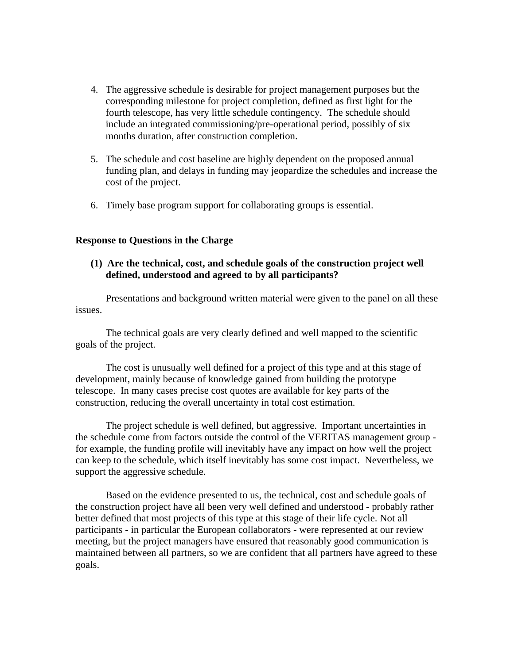- 4. The aggressive schedule is desirable for project management purposes but the corresponding milestone for project completion, defined as first light for the fourth telescope, has very little schedule contingency. The schedule should include an integrated commissioning/pre-operational period, possibly of six months duration, after construction completion.
- 5. The schedule and cost baseline are highly dependent on the proposed annual funding plan, and delays in funding may jeopardize the schedules and increase the cost of the project.
- 6. Timely base program support for collaborating groups is essential.

#### **Response to Questions in the Charge**

**(1) Are the technical, cost, and schedule goals of the construction project well defined, understood and agreed to by all participants?** 

 Presentations and background written material were given to the panel on all these issues.

 The technical goals are very clearly defined and well mapped to the scientific goals of the project.

 The cost is unusually well defined for a project of this type and at this stage of development, mainly because of knowledge gained from building the prototype telescope. In many cases precise cost quotes are available for key parts of the construction, reducing the overall uncertainty in total cost estimation.

 The project schedule is well defined, but aggressive. Important uncertainties in the schedule come from factors outside the control of the VERITAS management group for example, the funding profile will inevitably have any impact on how well the project can keep to the schedule, which itself inevitably has some cost impact. Nevertheless, we support the aggressive schedule.

 Based on the evidence presented to us, the technical, cost and schedule goals of the construction project have all been very well defined and understood - probably rather better defined that most projects of this type at this stage of their life cycle. Not all participants - in particular the European collaborators - were represented at our review meeting, but the project managers have ensured that reasonably good communication is maintained between all partners, so we are confident that all partners have agreed to these goals.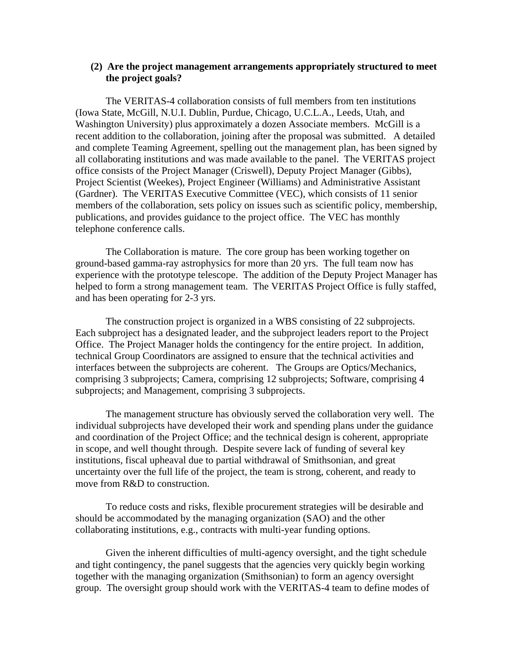#### **(2) Are the project management arrangements appropriately structured to meet the project goals?**

The VERITAS-4 collaboration consists of full members from ten institutions (Iowa State, McGill, N.U.I. Dublin, Purdue, Chicago, U.C.L.A., Leeds, Utah, and Washington University) plus approximately a dozen Associate members. McGill is a recent addition to the collaboration, joining after the proposal was submitted. A detailed and complete Teaming Agreement, spelling out the management plan, has been signed by all collaborating institutions and was made available to the panel. The VERITAS project office consists of the Project Manager (Criswell), Deputy Project Manager (Gibbs), Project Scientist (Weekes), Project Engineer (Williams) and Administrative Assistant (Gardner). The VERITAS Executive Committee (VEC), which consists of 11 senior members of the collaboration, sets policy on issues such as scientific policy, membership, publications, and provides guidance to the project office. The VEC has monthly telephone conference calls.

The Collaboration is mature. The core group has been working together on ground-based gamma-ray astrophysics for more than 20 yrs. The full team now has experience with the prototype telescope. The addition of the Deputy Project Manager has helped to form a strong management team. The VERITAS Project Office is fully staffed, and has been operating for 2-3 yrs.

The construction project is organized in a WBS consisting of 22 subprojects. Each subproject has a designated leader, and the subproject leaders report to the Project Office. The Project Manager holds the contingency for the entire project. In addition, technical Group Coordinators are assigned to ensure that the technical activities and interfaces between the subprojects are coherent. The Groups are Optics/Mechanics, comprising 3 subprojects; Camera, comprising 12 subprojects; Software, comprising 4 subprojects; and Management, comprising 3 subprojects.

The management structure has obviously served the collaboration very well. The individual subprojects have developed their work and spending plans under the guidance and coordination of the Project Office; and the technical design is coherent, appropriate in scope, and well thought through. Despite severe lack of funding of several key institutions, fiscal upheaval due to partial withdrawal of Smithsonian, and great uncertainty over the full life of the project, the team is strong, coherent, and ready to move from R&D to construction.

 To reduce costs and risks, flexible procurement strategies will be desirable and should be accommodated by the managing organization (SAO) and the other collaborating institutions, e.g., contracts with multi-year funding options.

Given the inherent difficulties of multi-agency oversight, and the tight schedule and tight contingency, the panel suggests that the agencies very quickly begin working together with the managing organization (Smithsonian) to form an agency oversight group. The oversight group should work with the VERITAS-4 team to define modes of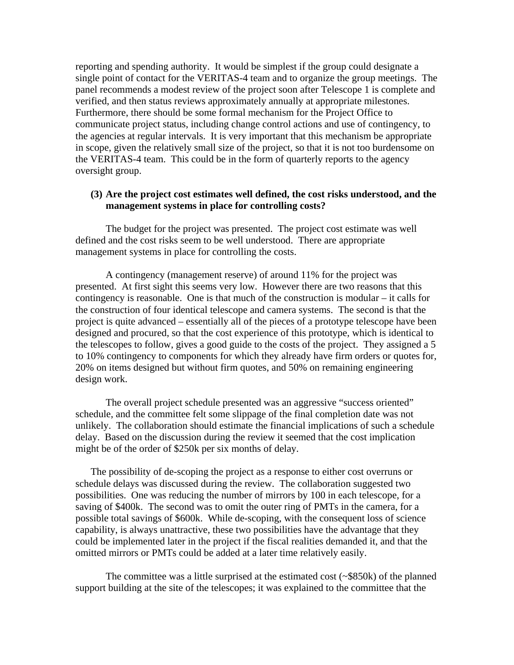reporting and spending authority. It would be simplest if the group could designate a single point of contact for the VERITAS-4 team and to organize the group meetings. The panel recommends a modest review of the project soon after Telescope 1 is complete and verified, and then status reviews approximately annually at appropriate milestones. Furthermore, there should be some formal mechanism for the Project Office to communicate project status, including change control actions and use of contingency, to the agencies at regular intervals. It is very important that this mechanism be appropriate in scope, given the relatively small size of the project, so that it is not too burdensome on the VERITAS-4 team. This could be in the form of quarterly reports to the agency oversight group.

#### **(3) Are the project cost estimates well defined, the cost risks understood, and the management systems in place for controlling costs?**

The budget for the project was presented. The project cost estimate was well defined and the cost risks seem to be well understood. There are appropriate management systems in place for controlling the costs.

A contingency (management reserve) of around 11% for the project was presented. At first sight this seems very low. However there are two reasons that this contingency is reasonable. One is that much of the construction is modular – it calls for the construction of four identical telescope and camera systems. The second is that the project is quite advanced – essentially all of the pieces of a prototype telescope have been designed and procured, so that the cost experience of this prototype, which is identical to the telescopes to follow, gives a good guide to the costs of the project. They assigned a 5 to 10% contingency to components for which they already have firm orders or quotes for, 20% on items designed but without firm quotes, and 50% on remaining engineering design work.

The overall project schedule presented was an aggressive "success oriented" schedule, and the committee felt some slippage of the final completion date was not unlikely. The collaboration should estimate the financial implications of such a schedule delay. Based on the discussion during the review it seemed that the cost implication might be of the order of \$250k per six months of delay.

The possibility of de-scoping the project as a response to either cost overruns or schedule delays was discussed during the review. The collaboration suggested two possibilities. One was reducing the number of mirrors by 100 in each telescope, for a saving of \$400k. The second was to omit the outer ring of PMTs in the camera, for a possible total savings of \$600k. While de-scoping, with the consequent loss of science capability, is always unattractive, these two possibilities have the advantage that they could be implemented later in the project if the fiscal realities demanded it, and that the omitted mirrors or PMTs could be added at a later time relatively easily.

The committee was a little surprised at the estimated cost (~\$850k) of the planned support building at the site of the telescopes; it was explained to the committee that the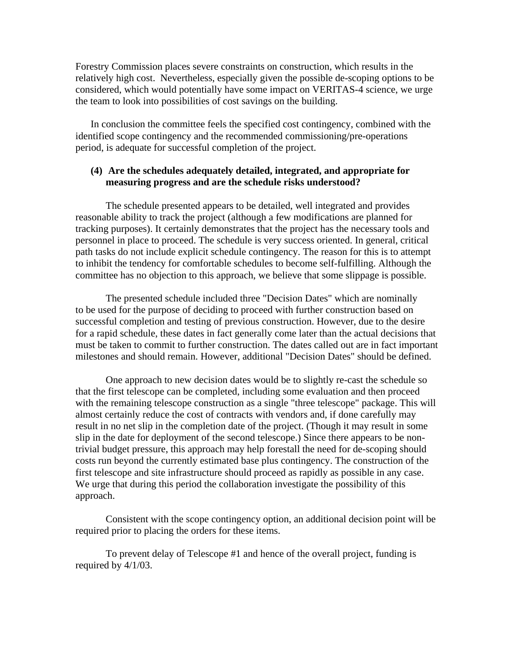Forestry Commission places severe constraints on construction, which results in the relatively high cost. Nevertheless, especially given the possible de-scoping options to be considered, which would potentially have some impact on VERITAS-4 science, we urge the team to look into possibilities of cost savings on the building.

In conclusion the committee feels the specified cost contingency, combined with the identified scope contingency and the recommended commissioning/pre-operations period, is adequate for successful completion of the project.

### **(4) Are the schedules adequately detailed, integrated, and appropriate for measuring progress and are the schedule risks understood?**

The schedule presented appears to be detailed, well integrated and provides reasonable ability to track the project (although a few modifications are planned for tracking purposes). It certainly demonstrates that the project has the necessary tools and personnel in place to proceed. The schedule is very success oriented. In general, critical path tasks do not include explicit schedule contingency. The reason for this is to attempt to inhibit the tendency for comfortable schedules to become self-fulfilling. Although the committee has no objection to this approach, we believe that some slippage is possible.

The presented schedule included three "Decision Dates" which are nominally to be used for the purpose of deciding to proceed with further construction based on successful completion and testing of previous construction. However, due to the desire for a rapid schedule, these dates in fact generally come later than the actual decisions that must be taken to commit to further construction. The dates called out are in fact important milestones and should remain. However, additional "Decision Dates" should be defined.

One approach to new decision dates would be to slightly re-cast the schedule so that the first telescope can be completed, including some evaluation and then proceed with the remaining telescope construction as a single "three telescope" package. This will almost certainly reduce the cost of contracts with vendors and, if done carefully may result in no net slip in the completion date of the project. (Though it may result in some slip in the date for deployment of the second telescope.) Since there appears to be nontrivial budget pressure, this approach may help forestall the need for de-scoping should costs run beyond the currently estimated base plus contingency. The construction of the first telescope and site infrastructure should proceed as rapidly as possible in any case. We urge that during this period the collaboration investigate the possibility of this approach.

Consistent with the scope contingency option, an additional decision point will be required prior to placing the orders for these items.

To prevent delay of Telescope #1 and hence of the overall project, funding is required by 4/1/03.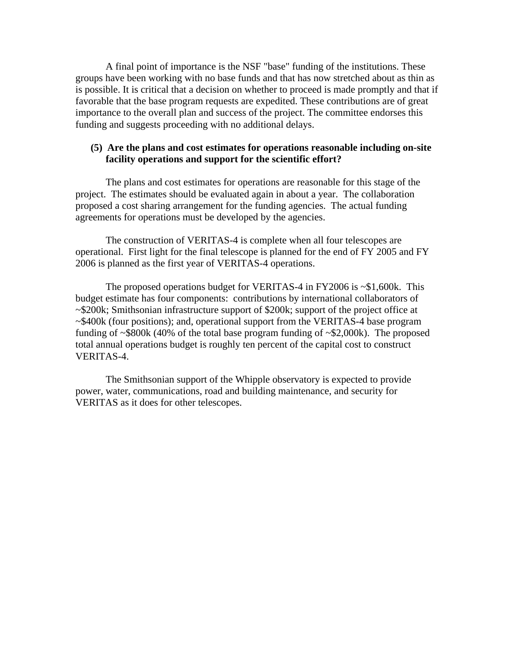A final point of importance is the NSF "base" funding of the institutions. These groups have been working with no base funds and that has now stretched about as thin as is possible. It is critical that a decision on whether to proceed is made promptly and that if favorable that the base program requests are expedited. These contributions are of great importance to the overall plan and success of the project. The committee endorses this funding and suggests proceeding with no additional delays.

### **(5) Are the plans and cost estimates for operations reasonable including on-site facility operations and support for the scientific effort?**

The plans and cost estimates for operations are reasonable for this stage of the project. The estimates should be evaluated again in about a year. The collaboration proposed a cost sharing arrangement for the funding agencies. The actual funding agreements for operations must be developed by the agencies.

The construction of VERITAS-4 is complete when all four telescopes are operational. First light for the final telescope is planned for the end of FY 2005 and FY 2006 is planned as the first year of VERITAS-4 operations.

The proposed operations budget for VERITAS-4 in FY2006 is  $\sim$ \$1,600k. This budget estimate has four components: contributions by international collaborators of ~\$200k; Smithsonian infrastructure support of \$200k; support of the project office at ~\$400k (four positions); and, operational support from the VERITAS-4 base program funding of ~\$800k (40% of the total base program funding of ~\$2,000k). The proposed total annual operations budget is roughly ten percent of the capital cost to construct VERITAS-4.

The Smithsonian support of the Whipple observatory is expected to provide power, water, communications, road and building maintenance, and security for VERITAS as it does for other telescopes.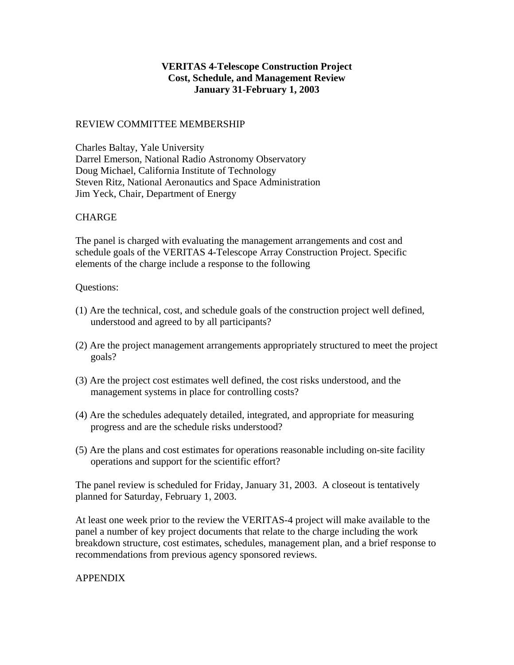# **VERITAS 4-Telescope Construction Project Cost, Schedule, and Management Review January 31-February 1, 2003**

### REVIEW COMMITTEE MEMBERSHIP

Charles Baltay, Yale University Darrel Emerson, National Radio Astronomy Observatory Doug Michael, California Institute of Technology Steven Ritz, National Aeronautics and Space Administration Jim Yeck, Chair, Department of Energy

# **CHARGE**

The panel is charged with evaluating the management arrangements and cost and schedule goals of the VERITAS 4-Telescope Array Construction Project. Specific elements of the charge include a response to the following

### Questions:

- (1) Are the technical, cost, and schedule goals of the construction project well defined, understood and agreed to by all participants?
- (2) Are the project management arrangements appropriately structured to meet the project goals?
- (3) Are the project cost estimates well defined, the cost risks understood, and the management systems in place for controlling costs?
- (4) Are the schedules adequately detailed, integrated, and appropriate for measuring progress and are the schedule risks understood?
- (5) Are the plans and cost estimates for operations reasonable including on-site facility operations and support for the scientific effort?

The panel review is scheduled for Friday, January 31, 2003. A closeout is tentatively planned for Saturday, February 1, 2003.

At least one week prior to the review the VERITAS-4 project will make available to the panel a number of key project documents that relate to the charge including the work breakdown structure, cost estimates, schedules, management plan, and a brief response to recommendations from previous agency sponsored reviews.

### APPENDIX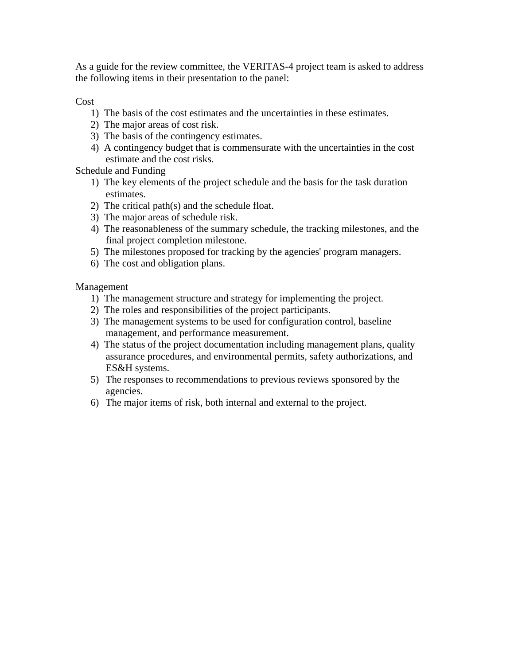As a guide for the review committee, the VERITAS-4 project team is asked to address the following items in their presentation to the panel:

Cost

- 1) The basis of the cost estimates and the uncertainties in these estimates.
- 2) The major areas of cost risk.
- 3) The basis of the contingency estimates.
- 4) A contingency budget that is commensurate with the uncertainties in the cost estimate and the cost risks.

Schedule and Funding

- 1) The key elements of the project schedule and the basis for the task duration estimates.
- 2) The critical path(s) and the schedule float.
- 3) The major areas of schedule risk.
- 4) The reasonableness of the summary schedule, the tracking milestones, and the final project completion milestone.
- 5) The milestones proposed for tracking by the agencies' program managers.
- 6) The cost and obligation plans.

Management

- 1) The management structure and strategy for implementing the project.
- 2) The roles and responsibilities of the project participants.
- 3) The management systems to be used for configuration control, baseline management, and performance measurement.
- 4) The status of the project documentation including management plans, quality assurance procedures, and environmental permits, safety authorizations, and ES&H systems.
- 5) The responses to recommendations to previous reviews sponsored by the agencies.
- 6) The major items of risk, both internal and external to the project.